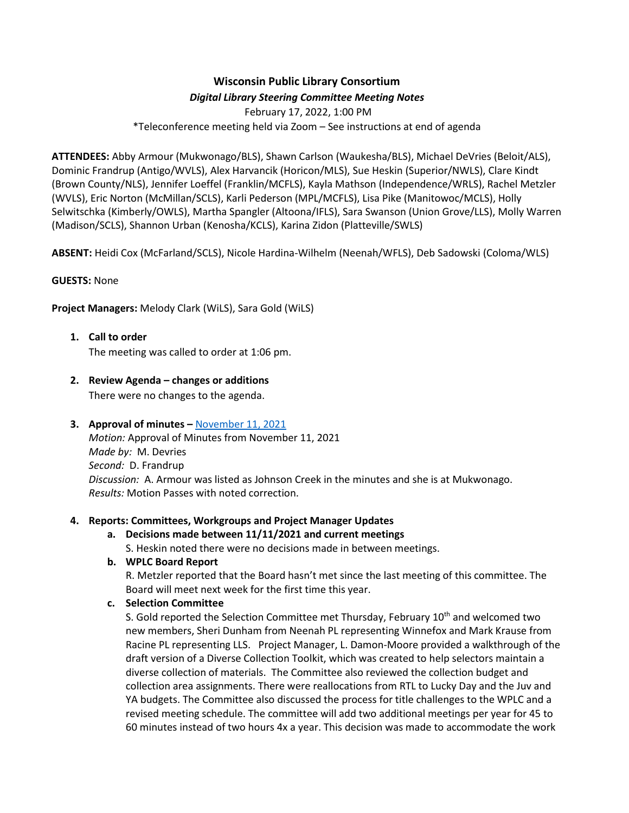# **Wisconsin Public Library Consortium** *Digital Library Steering Committee Meeting Notes*

February 17, 2022, 1:00 PM \*Teleconference meeting held via Zoom – See instructions at end of agenda

**ATTENDEES:** Abby Armour (Mukwonago/BLS), Shawn Carlson (Waukesha/BLS), Michael DeVries (Beloit/ALS), Dominic Frandrup (Antigo/WVLS), Alex Harvancik (Horicon/MLS), Sue Heskin (Superior/NWLS), Clare Kindt (Brown County/NLS), Jennifer Loeffel (Franklin/MCFLS), Kayla Mathson (Independence/WRLS), Rachel Metzler (WVLS), Eric Norton (McMillan/SCLS), Karli Pederson (MPL/MCFLS), Lisa Pike (Manitowoc/MCLS), Holly Selwitschka (Kimberly/OWLS), Martha Spangler (Altoona/IFLS), Sara Swanson (Union Grove/LLS), Molly Warren (Madison/SCLS), Shannon Urban (Kenosha/KCLS), Karina Zidon (Platteville/SWLS)

**ABSENT:** Heidi Cox (McFarland/SCLS), Nicole Hardina-Wilhelm (Neenah/WFLS), Deb Sadowski (Coloma/WLS)

## **GUESTS:** None

**Project Managers:** Melody Clark (WiLS), Sara Gold (WiLS)

- **1. Call to order** The meeting was called to order at 1:06 pm.
- **2. Review Agenda – changes or additions** There were no changes to the agenda.

## **3. Approval of minutes –** [November 11, 2021](https://wplc.info/sites/wplc.info/files/training/11-11-2021%20WPLC%20Steering%20Notes.pdf)

*Motion:* Approval of Minutes from November 11, 2021 *Made by:* M. Devries *Second:* D. Frandrup *Discussion:* A. Armour was listed as Johnson Creek in the minutes and she is at Mukwonago. *Results:* Motion Passes with noted correction.

## **4. Reports: Committees, Workgroups and Project Manager Updates**

**a. Decisions made between 11/11/2021 and current meetings**

S. Heskin noted there were no decisions made in between meetings.

## **b. WPLC Board Report**

R. Metzler reported that the Board hasn't met since the last meeting of this committee. The Board will meet next week for the first time this year.

## **c. Selection Committee**

S. Gold reported the Selection Committee met Thursday, February  $10<sup>th</sup>$  and welcomed two new members, Sheri Dunham from Neenah PL representing Winnefox and Mark Krause from Racine PL representing LLS. Project Manager, L. Damon-Moore provided a walkthrough of the draft version of a Diverse Collection Toolkit, which was created to help selectors maintain a diverse collection of materials. The Committee also reviewed the collection budget and collection area assignments. There were reallocations from RTL to Lucky Day and the Juv and YA budgets. The Committee also discussed the process for title challenges to the WPLC and a revised meeting schedule. The committee will add two additional meetings per year for 45 to 60 minutes instead of two hours 4x a year. This decision was made to accommodate the work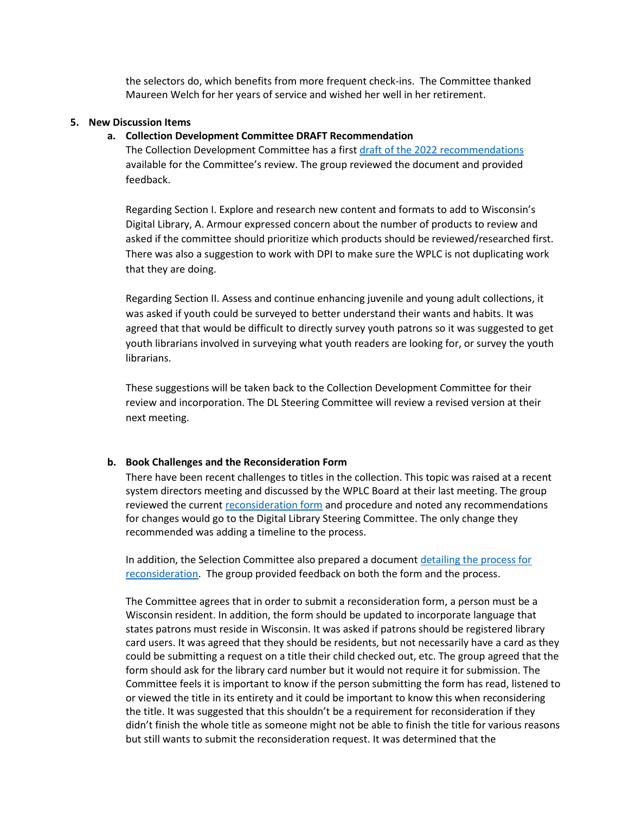the selectors do, which benefits from more frequent check-ins. The Committee thanked Maureen Welch for her years of service and wished her well in her retirement.

#### **5. New Discussion Items**

#### **a. Collection Development Committee DRAFT Recommendation**

The Collection Development Committee has a first draft of the 2022 [recommendations](https://wplc.info/sites/wplc.info/files/2022%20WPLC%20CDC%20Recommendations-%20DRAFT.pdf) available for the Committee's review. The group reviewed the document and provided feedback.

Regarding Section I. Explore and research new content and formats to add to Wisconsin's Digital Library, A. Armour expressed concern about the number of products to review and asked if the committee should prioritize which products should be reviewed/researched first. There was also a suggestion to work with DPI to make sure the WPLC is not duplicating work that they are doing.

Regarding Section II. Assess and continue enhancing juvenile and young adult collections, it was asked if youth could be surveyed to better understand their wants and habits. It was agreed that that would be difficult to directly survey youth patrons so it was suggested to get youth librarians involved in surveying what youth readers are looking for, or survey the youth librarians.

These suggestions will be taken back to the Collection Development Committee for their review and incorporation. The DL Steering Committee will review a revised version at their next meeting.

#### **b. Book Challenges and the Reconsideration Form**

There have been recent challenges to titles in the collection. This topic was raised at a recent system directors meeting and discussed by the WPLC Board at their last meeting. The group reviewed the current [reconsideration form](https://wplc.info/reconsideration) and procedure and noted any recommendations for changes would go to the Digital Library Steering Committee. The only change they recommended was adding a timeline to the process.

In addition, the Selection Committee also prepared a document [detailing the process for](https://3.basecamp.com/3592820/projects/10985072)  [reconsideration.](https://3.basecamp.com/3592820/projects/10985072) The group provided feedback on both the form and the process.

The Committee agrees that in order to submit a reconsideration form, a person must be a Wisconsin resident. In addition, the form should be updated to incorporate language that states patrons must reside in Wisconsin. It was asked if patrons should be registered library card users. It was agreed that they should be residents, but not necessarily have a card as they could be submitting a request on a title their child checked out, etc. The group agreed that the form should ask for the library card number but it would not require it for submission. The Committee feels it is important to know if the person submitting the form has read, listened to or viewed the title in its entirety and it could be important to know this when reconsidering the title. It was suggested that this shouldn't be a requirement for reconsideration if they didn't finish the whole title as someone might not be able to finish the title for various reasons but still wants to submit the reconsideration request. It was determined that the